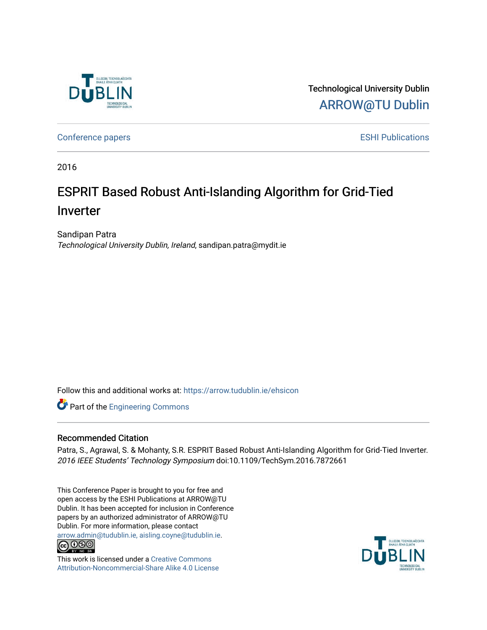

Technological University Dublin [ARROW@TU Dublin](https://arrow.tudublin.ie/) 

[Conference papers](https://arrow.tudublin.ie/ehsicon) **ESHI Publications** 

2016

# ESPRIT Based Robust Anti-Islanding Algorithm for Grid-Tied Inverter

Sandipan Patra Technological University Dublin, Ireland, sandipan.patra@mydit.ie

Follow this and additional works at: [https://arrow.tudublin.ie/ehsicon](https://arrow.tudublin.ie/ehsicon?utm_source=arrow.tudublin.ie%2Fehsicon%2F2&utm_medium=PDF&utm_campaign=PDFCoverPages) 

**Part of the [Engineering Commons](http://network.bepress.com/hgg/discipline/217?utm_source=arrow.tudublin.ie%2Fehsicon%2F2&utm_medium=PDF&utm_campaign=PDFCoverPages)** 

### Recommended Citation

Patra, S., Agrawal, S. & Mohanty, S.R. ESPRIT Based Robust Anti-Islanding Algorithm for Grid-Tied Inverter. 2016 IEEE Students' Technology Symposium doi:10.1109/TechSym.2016.7872661

This Conference Paper is brought to you for free and open access by the ESHI Publications at ARROW@TU Dublin. It has been accepted for inclusion in Conference papers by an authorized administrator of ARROW@TU Dublin. For more information, please contact [arrow.admin@tudublin.ie, aisling.coyne@tudublin.ie](mailto:arrow.admin@tudublin.ie,%20aisling.coyne@tudublin.ie).<br>COOO



This work is licensed under a [Creative Commons](http://creativecommons.org/licenses/by-nc-sa/4.0/) [Attribution-Noncommercial-Share Alike 4.0 License](http://creativecommons.org/licenses/by-nc-sa/4.0/)

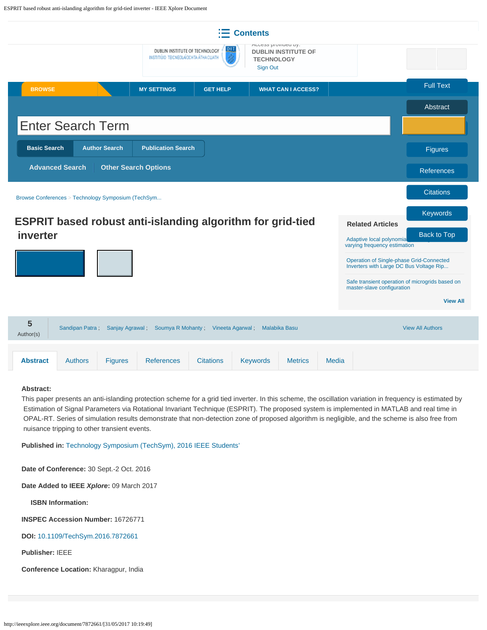<span id="page-1-0"></span>

#### **Abstract:**

This paper presents an anti-islanding protection scheme for a grid tied inverter. In this scheme, the oscillation variation in frequency is estimated by Estimation of Signal Parameters via Rotational Invariant Technique (ESPRIT). The proposed system is implemented in MATLAB and real time in OPAL-RT. Series of simulation results demonstrate that non-detection zone of proposed algorithm is negligible, and the scheme is also free from nuisance tripping to other transient events.

**Published in:** [Technology Symposium \(TechSym\), 2016 IEEE Students'](http://ieeexplore.ieee.org/xpl/mostRecentIssue.jsp?punumber=7866269)

**Date of Conference:** 30 Sept.-2 Oct. 2016

**Date Added to IEEE** *Xplore***:** 09 March 2017

**ISBN Information:**

**INSPEC Accession Number:** 16726771

**DOI:** [10.1109/TechSym.2016.7872661](https://doi.org/10.1109/TechSym.2016.7872661)

**Publisher:** IEEE

**Conference Location:** Kharagpur, India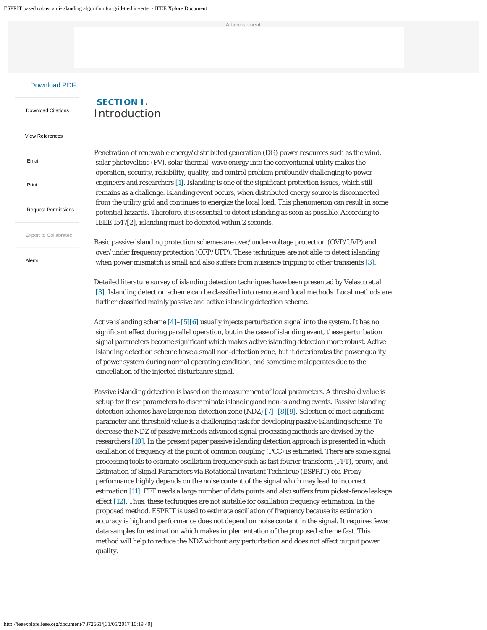Advertisemen

#### [Download PDF](http://ieeexplore.ieee.org/stamp/stamp.jsp?arnumber=7872661)

 [Download Citations](#page-1-0)

[View References](http://ieeexplore.ieee.org/xpl/dwnldReferences?arnumber=7872661)

 [Email](#page-1-0)

 [Print](#page-1-0)

 [Request Permissions](#page-1-0)

 [Export to Collabratec](#page-1-0)

 [Alerts](#page-1-0)

# **SECTION I.** Introduction

Penetration of renewable energy/distributed generation (DG) power resources such as the wind, solar photovoltaic (PV), solar thermal, wave energy into the conventional utility makes the operation, security, reliability, quality, and control problem profoundly challenging to power engineers and researchers [1]. Islanding is one of the significant protection issues, which still remains as a challenge. Islanding event occurs, when distributed energy source is disconnected from the utility grid and continues to energize the local load. This phenomenon can result in some potential hazards. Therefore, it is essential to detect islanding as soon as possible. According to IEEE 1547[2], islanding must be detected within 2 seconds.

Basic passive islanding protection schemes are over/under-voltage protection (OVP/UVP) and over/under frequency protection (OFP/UFP). These techniques are not able to detect islanding when power mismatch is small and also suffers from nuisance tripping to other transients [3].

Detailed literature survey of islanding detection techniques have been presented by Velasco et.al [3]. Islanding detection scheme can be classified into remote and local methods. Local methods are further classified mainly passive and active islanding detection scheme.

Active islanding scheme [4]–[5][6] usually injects perturbation signal into the system. It has no significant effect during parallel operation, but in the case of islanding event, these perturbation signal parameters become significant which makes active islanding detection more robust. Active islanding detection scheme have a small non-detection zone, but it deteriorates the power quality of power system during normal operating condition, and sometime maloperates due to the cancellation of the injected disturbance signal.

Passive islanding detection is based on the measurement of local parameters. A threshold value is set up for these parameters to discriminate islanding and non-islanding events. Passive islanding detection schemes have large non-detection zone (NDZ) [7]–[8][9]. Selection of most significant parameter and threshold value is a challenging task for developing passive islanding scheme. To decrease the NDZ of passive methods advanced signal processing methods are devised by the researchers [10]. In the present paper passive islanding detection approach is presented in which oscillation of frequency at the point of common coupling (PCC) is estimated. There are some signal processing tools to estimate oscillation frequency such as fast fourier transform (FFT), prony, and Estimation of Signal Parameters via Rotational Invariant Technique (ESPRIT) etc. Prony performance highly depends on the noise content of the signal which may lead to incorrect estimation [11]. FFT needs a large number of data points and also suffers from picket-fence leakage effect [12]. Thus, these techniques are not suitable for oscillation frequency estimation. In the proposed method, ESPRIT is used to estimate oscillation of frequency because its estimation accuracy is high and performance does not depend on noise content in the signal. It requires fewer data samples for estimation which makes implementation of the proposed scheme fast. This method will help to reduce the NDZ without any perturbation and does not affect output power quality.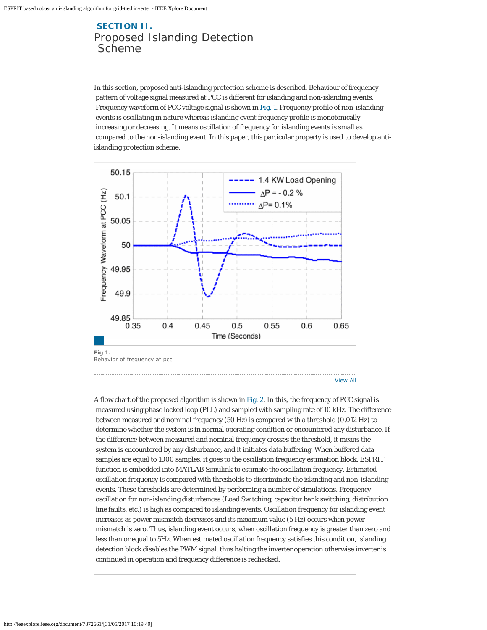# **SECTION II.** Proposed Islanding Detection Scheme

In this section, proposed anti-islanding protection scheme is described. Behaviour of frequency pattern of voltage signal measured at PCC is different for islanding and non-islanding events. Frequency waveform of PCC voltage signal is shown in Fig. 1. Frequency profile of non-islanding events is oscillating in nature whereas islanding event frequency profile is monotonically increasing or decreasing. It means oscillation of frequency for islanding events is small as compared to the non-islanding event. In this paper, this particular property is used to develop antiislanding protection scheme.



A flow chart of the proposed algorithm is shown in Fig. 2. In this, the frequency of PCC signal is measured using phase locked loop (PLL) and sampled with sampling rate of 10 kHz. The difference between measured and nominal frequency (50 Hz) is compared with a threshold (0.012 Hz) to determine whether the system is in normal operating condition or encountered any disturbance. If the difference between measured and nominal frequency crosses the threshold, it means the system is encountered by any disturbance, and it initiates data buffering. When buffered data samples are equal to 1000 samples, it goes to the oscillation frequency estimation block. ESPRIT function is embedded into MATLAB Simulink to estimate the oscillation frequency. Estimated oscillation frequency is compared with thresholds to discriminate the islanding and non-islanding events. These thresholds are determined by performing a number of simulations. Frequency oscillation for non-islanding disturbances (Load Switching, capacitor bank switching, distribution line faults, etc.) is high as compared to islanding events. Oscillation frequency for islanding event increases as power mismatch decreases and its maximum value (5 Hz) occurs when power mismatch is zero. Thus, islanding event occurs, when oscillation frequency is greater than zero and less than or equal to 5Hz. When estimated oscillation frequency satisfies this condition, islanding detection block disables the PWM signal, thus halting the inverter operation otherwise inverter is continued in operation and frequency difference is rechecked.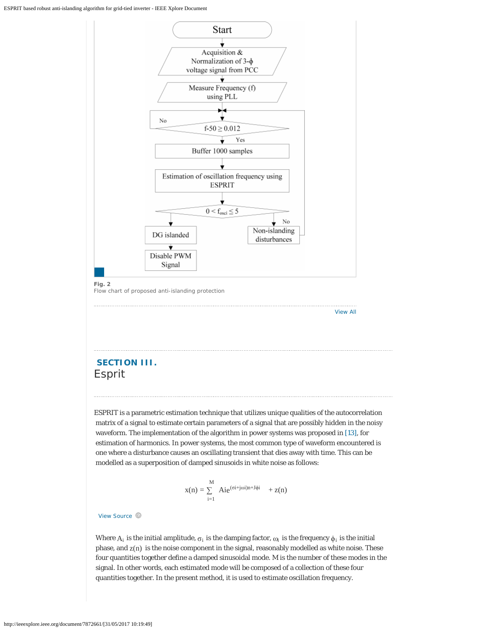

Flow chart of proposed anti-islanding protection

## **SECTION III.** Esprit

ESPRIT is a parametric estimation technique that utilizes unique qualities of the autocorrelation matrix of a signal to estimate certain parameters of a signal that are possibly hidden in the noisy waveform. The implementation of the algorithm in power systems was proposed in [13], for estimation of harmonics. In power systems, the most common type of waveform encountered is one where a disturbance causes an oscillating transient that dies away with time. This can be modelled as a superposition of damped sinusoids in white noise as follows:

[View All](http://ieeexplore.ieee.org/document/7872661/all-figures)

$$
x(n)=\mathop{\textstyle \sum}_{i=1}^M\ A i e^{(\sigma i + j \omega i) n + J \varphi i} \quad + z(n)
$$

View Source  $\circledR$ 

Where  $A_i$  is the initial amplitude,  $\sigma_i$  is the damping factor,  $\omega_i$  is the frequency  $\phi_i$  is the initial phase, and  $z(n)$  is the noise component in the signal, reasonably modelled as white noise. These four quantities together define a damped sinusoidal mode. M is the number of these modes in the signal. In other words, each estimated mode will be composed of a collection of these four quantities together. In the present method, it is used to estimate oscillation frequency.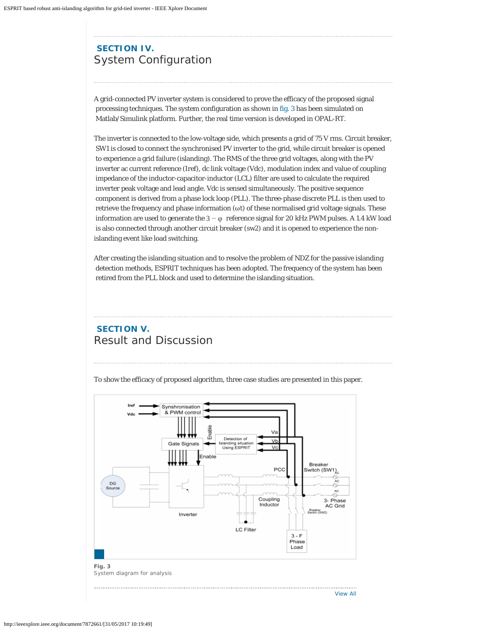# **SECTION IV.** System Configuration

A grid-connected PV inverter system is considered to prove the efficacy of the proposed signal processing techniques. The system configuration as shown in fig. 3 has been simulated on Matlab/Simulink platform. Further, the real time version is developed in OPAL-RT.

The inverter is connected to the low-voltage side, which presents a grid of 75 V rms. Circuit breaker, SW1 is closed to connect the synchronised PV inverter to the grid, while circuit breaker is opened to experience a grid failure (islanding). The RMS of the three grid voltages, along with the PV inverter ac current reference (Iref), dc link voltage (Vdc), modulation index and value of coupling impedance of the inductor-capacitor-inductor (LCL) filter are used to calculate the required inverter peak voltage and lead angle. Vdc is sensed simultaneously. The positive sequence component is derived from a phase lock loop (PLL). The three-phase discrete PLL is then used to retrieve the frequency and phase information (ωt) of these normalised grid voltage signals. These information are used to generate the  $3 - φ$  reference signal for 20 kHz PWM pulses. A 1.4 kW load is also connected through another circuit breaker (sw2) and it is opened to experience the nonislanding event like load switching.

After creating the islanding situation and to resolve the problem of NDZ for the passive islanding detection methods, ESPRIT techniques has been adopted. The frequency of the system has been retired from the PLL block and used to determine the islanding situation.

# **SECTION V.** Result and Discussion

To show the efficacy of proposed algorithm, three case studies are presented in this paper.

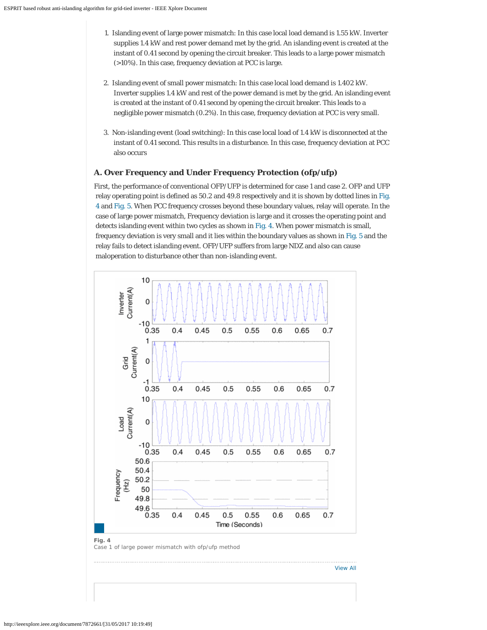- 1. Islanding event of large power mismatch: In this case local load demand is 1.55 kW. Inverter supplies 1.4 kW and rest power demand met by the grid. An islanding event is created at the instant of 0.41 second by opening the circuit breaker. This leads to a large power mismatch (>10%). In this case, frequency deviation at PCC is large.
- 2. Islanding event of small power mismatch: In this case local load demand is 1.402 kW. Inverter supplies 1.4 kW and rest of the power demand is met by the grid. An islanding event is created at the instant of 0.41 second by opening the circuit breaker. This leads to a negligible power mismatch (0.2%). In this case, frequency deviation at PCC is very small.
- 3. Non-islanding event (load switching): In this case local load of 1.4 kW is disconnected at the instant of 0.41 second. This results in a disturbance. In this case, frequency deviation at PCC also occurs

### **A. Over Frequency and Under Frequency Protection (ofp/ufp)**

First, the performance of conventional OFP/UFP is determined for case 1 and case 2. OFP and UFP relay operating point is defined as 50.2 and 49.8 respectively and it is shown by dotted lines in Fig. 4 and Fig. 5. When PCC frequency crosses beyond these boundary values, relay will operate. In the case of large power mismatch, Frequency deviation is large and it crosses the operating point and detects islanding event within two cycles as shown in Fig. 4. When power mismatch is small, frequency deviation is very small and it lies within the boundary values as shown in Fig. 5 and the relay fails to detect islanding event. OFP/UFP suffers from large NDZ and also can cause maloperation to disturbance other than non-islanding event.



[View All](http://ieeexplore.ieee.org/document/7872661/all-figures)

Case 1 of large power mismatch with ofp/ufp method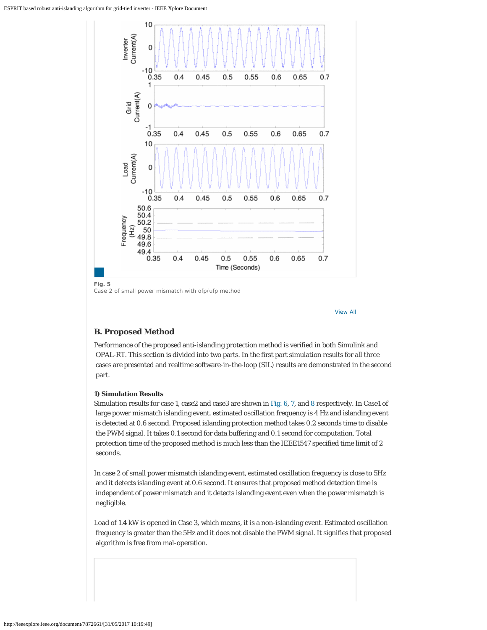

### **B. Proposed Method**

Performance of the proposed anti-islanding protection method is verified in both Simulink and OPAL-RT. This section is divided into two parts. In the first part simulation results for all three cases are presented and realtime software-in-the-loop (SIL) results are demonstrated in the second part.

[View All](http://ieeexplore.ieee.org/document/7872661/all-figures)

#### **1) Simulation Results**

Simulation results for case 1, case2 and case3 are shown in Fig. 6, 7, and 8 respectively. In Case1 of large power mismatch islanding event, estimated oscillation frequency is 4 Hz and islanding event is detected at 0.6 second. Proposed islanding protection method takes 0.2 seconds time to disable the PWM signal. It takes 0.1 second for data buffering and 0.1 second for computation. Total protection time of the proposed method is much less than the IEEE1547 specified time limit of 2 seconds.

In case 2 of small power mismatch islanding event, estimated oscillation frequency is close to 5Hz and it detects islanding event at 0.6 second. It ensures that proposed method detection time is independent of power mismatch and it detects islanding event even when the power mismatch is negligible.

Load of 1.4 kW is opened in Case 3, which means, it is a non-islanding event. Estimated oscillation frequency is greater than the 5Hz and it does not disable the PWM signal. It signifies that proposed algorithm is free from mal-operation.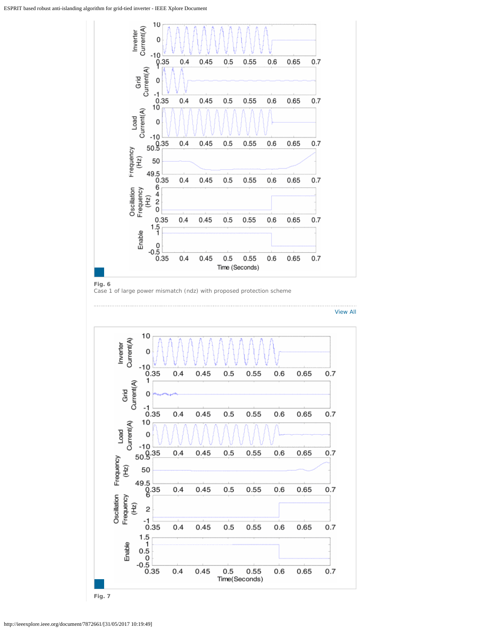

#### **Fig. 6**

Case 1 of large power mismatch (ndz) with proposed protection scheme



[View All](http://ieeexplore.ieee.org/document/7872661/all-figures)

**Fig. 7**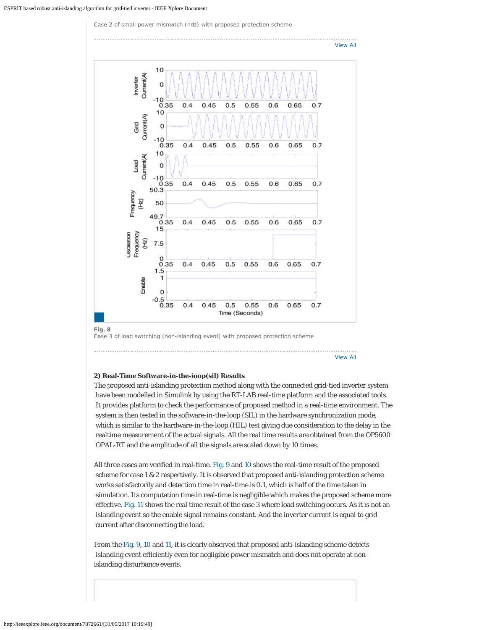Case 2 of small power mismatch (ndz) with proposed protection scheme



Case 3 of load switching (non-islanding event) with proposed protection scheme

[View All](http://ieeexplore.ieee.org/document/7872661/all-figures)

#### **2) Real-Time Software-in-the-ioop(sil) Results**

The proposed anti-islanding protection method along with the connected grid-tied inverter system have been modelled in Simulink by using the RT-LAB real-time platform and the associated tools. It provides platform to check the performance of proposed method in a real-time environment. The system is then tested in the software-in-the-loop (SIL) in the hardware synchronization mode, which is similar to the hardware-in-the-loop (HIL) test giving due consideration to the delay in the realtime measurement of the actual signals. All the real time results are obtained from the OP5600 OPAL-RT and the amplitude of all the signals are scaled down by 10 times.

All three cases are verified in real-time. Fig. 9 and 10 shows the real-time result of the proposed scheme for case 1 & 2 respectively. It is observed that proposed anti-islanding protection scheme works satisfactorily and detection time in real-time is 0.1, which is half of the time taken in simulation. Its computation time in real-time is negligible which makes the proposed scheme more effective. Fig. 11 shows the real time result of the case 3 where load switching occurs. As it is not an islanding event so the enable signal remains constant. And the inverter current is equal to grid current after disconnecting the load.

From the Fig. 9, 10 and 11, it is clearly observed that proposed anti-islanding scheme detects islanding event efficiently even for negligible power mismatch and does not operate at nonislanding disturbance events.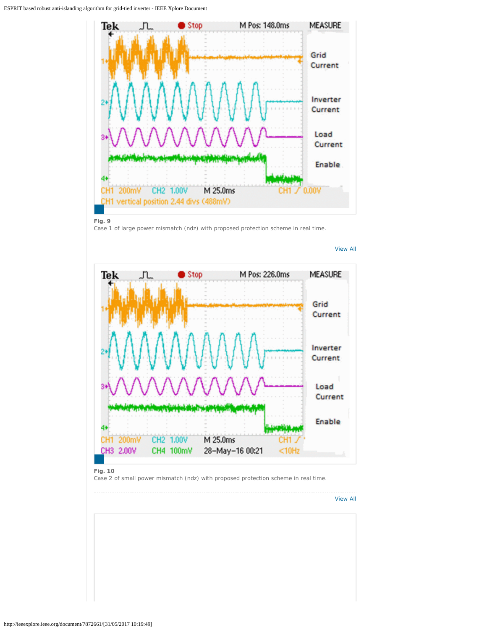

#### **Fig. 9**

Case 1 of large power mismatch (ndz) with proposed protection scheme in real time.



#### **Fig. 10**

Case 2 of small power mismatch (ndz) with proposed protection scheme in real time.

. . . . . . . . . . . [View All](http://ieeexplore.ieee.org/document/7872661/all-figures)

. . . . . . . . . . . . . . . .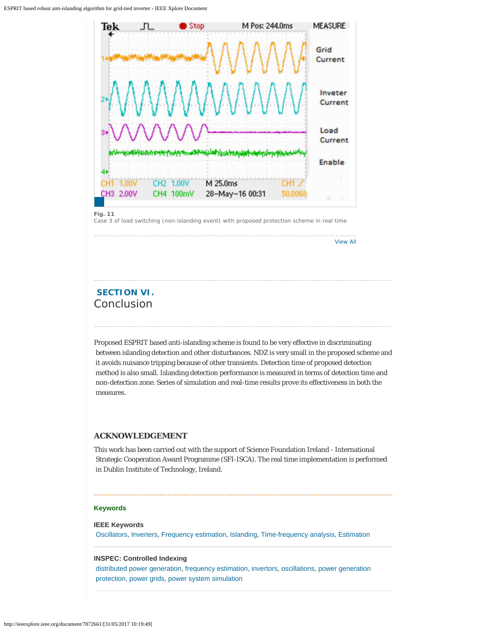

#### **Fig. 11**

Case 3 of load switching (non-islanding event) with proposed protection scheme in real time

[View All](http://ieeexplore.ieee.org/document/7872661/all-figures)

# **SECTION VI.** Conclusion

Proposed ESPRIT based anti-islanding scheme is found to be very effective in discriminating between islanding detection and other disturbances. NDZ is very small in the proposed scheme and it avoids nuisance tripping because of other transients. Detection time of proposed detection method is also small. Islanding detection performance is measured in terms of detection time and non-detection zone. Series of simulation and real-time results prove its effectiveness in both the measures.

#### **ACKNOWLEDGEMENT**

This work has been carried out with the support of Science Foundation Ireland - International Strategic Cooperation Award Programme (SFI-ISCA). The real time implementation is performed in Dublin Institute of Technology, Ireland.

#### **Keywords**

### **IEEE Keywords** [Oscillators](http://ieeexplore.ieee.org/search/searchresult.jsp?matchBoolean=true&queryText=%22Index%20Terms%22:.QT.Oscillators.QT.&newsearch=true), [Inverters](http://ieeexplore.ieee.org/search/searchresult.jsp?matchBoolean=true&queryText=%22Index%20Terms%22:.QT.Inverters.QT.&newsearch=true), [Frequency estimation](http://ieeexplore.ieee.org/search/searchresult.jsp?matchBoolean=true&queryText=%22Index%20Terms%22:.QT.Frequency%20estimation.QT.&newsearch=true), [Islanding](http://ieeexplore.ieee.org/search/searchresult.jsp?matchBoolean=true&queryText=%22Index%20Terms%22:.QT.Islanding.QT.&newsearch=true), [Time-frequency analysis](http://ieeexplore.ieee.org/search/searchresult.jsp?matchBoolean=true&queryText=%22Index%20Terms%22:.QT.Time-frequency%20analysis.QT.&newsearch=true), [Estimation](http://ieeexplore.ieee.org/search/searchresult.jsp?matchBoolean=true&queryText=%22Index%20Terms%22:.QT.Estimation.QT.&newsearch=true)

#### **INSPEC: Controlled Indexing**

[distributed power generation](http://ieeexplore.ieee.org/search/searchresult.jsp?matchBoolean=true&queryText=%22Index%20Terms%22:.QT.distributed%20power%20generation.QT.&newsearch=true), [frequency estimation](http://ieeexplore.ieee.org/search/searchresult.jsp?matchBoolean=true&queryText=%22Index%20Terms%22:.QT.frequency%20estimation.QT.&newsearch=true), [invertors](http://ieeexplore.ieee.org/search/searchresult.jsp?matchBoolean=true&queryText=%22Index%20Terms%22:.QT.invertors.QT.&newsearch=true), [oscillations,](http://ieeexplore.ieee.org/search/searchresult.jsp?matchBoolean=true&queryText=%22Index%20Terms%22:.QT.oscillations.QT.&newsearch=true) [power generation](http://ieeexplore.ieee.org/search/searchresult.jsp?matchBoolean=true&queryText=%22Index%20Terms%22:.QT.power%20generation%20protection.QT.&newsearch=true)  [protection,](http://ieeexplore.ieee.org/search/searchresult.jsp?matchBoolean=true&queryText=%22Index%20Terms%22:.QT.power%20generation%20protection.QT.&newsearch=true) [power grids](http://ieeexplore.ieee.org/search/searchresult.jsp?matchBoolean=true&queryText=%22Index%20Terms%22:.QT.power%20grids.QT.&newsearch=true), [power system simulation](http://ieeexplore.ieee.org/search/searchresult.jsp?matchBoolean=true&queryText=%22Index%20Terms%22:.QT.power%20system%20simulation.QT.&newsearch=true)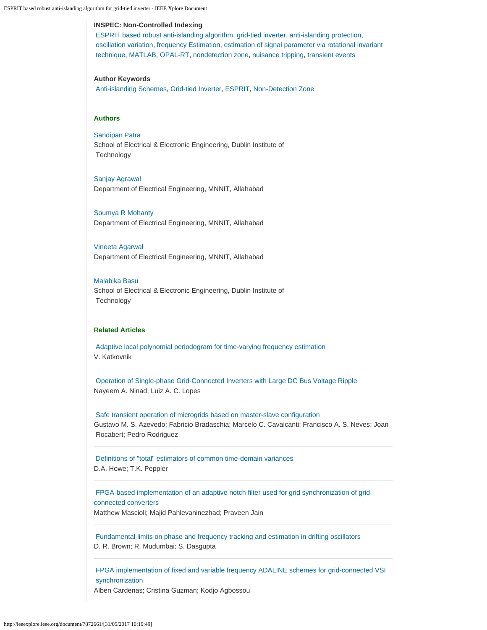| <b>INSPEC: Non-Controlled Indexing</b>                                                                                                                                                                                                                                                     |
|--------------------------------------------------------------------------------------------------------------------------------------------------------------------------------------------------------------------------------------------------------------------------------------------|
| ESPRIT based robust anti-islanding algorithm, grid-tied inverter, anti-islanding protection,<br>oscillation variation, frequency Estimation, estimation of signal parameter via rotational invariant<br>technique, MATLAB, OPAL-RT, nondetection zone, nuisance tripping, transient events |
| <b>Author Keywords</b><br>Anti-islanding Schemes, Grid-tied Inverter, ESPRIT, Non-Detection Zone                                                                                                                                                                                           |

#### **Authors**

[Sandipan Patra](http://ieeexplore.ieee.org/search/searchresult.jsp?searchWithin=%22Authors%22:.QT.Sandipan%20Patra.QT.&newsearch=true)

School of Electrical & Electronic Engineering, Dublin Institute of **Technology** 

[Sanjay Agrawal](http://ieeexplore.ieee.org/search/searchresult.jsp?searchWithin=%22Authors%22:.QT.Sanjay%20Agrawal.QT.&newsearch=true) Department of Electrical Engineering, MNNIT, Allahabad

[Soumya R Mohanty](http://ieeexplore.ieee.org/search/searchresult.jsp?searchWithin=%22Authors%22:.QT.Soumya%20R%20Mohanty.QT.&newsearch=true) Department of Electrical Engineering, MNNIT, Allahabad

[Vineeta Agarwal](http://ieeexplore.ieee.org/search/searchresult.jsp?searchWithin=%22Authors%22:.QT.Vineeta%20Agarwal.QT.&newsearch=true) Department of Electrical Engineering, MNNIT, Allahabad

#### [Malabika Basu](http://ieeexplore.ieee.org/search/searchresult.jsp?searchWithin=%22Authors%22:.QT.Malabika%20Basu.QT.&newsearch=true)

School of Electrical & Electronic Engineering, Dublin Institute of **Technology** 

#### **Related Articles**

[Adaptive local polynomial periodogram for time-varying frequency estimation](http://ieeexplore.ieee.org/document/547480) V. Katkovnik

[Operation of Single-phase Grid-Connected Inverters with Large DC Bus Voltage Ripple](http://ieeexplore.ieee.org/document/4520325) Nayeem A. Ninad; Luiz A. C. Lopes

[Safe transient operation of microgrids based on master-slave configuration](http://ieeexplore.ieee.org/document/6064058) Gustavo M. S. Azevedo; Fabricio Bradaschia; Marcelo C. Cavalcanti; Francisco A. S. Neves; Joan Rocabert; Pedro Rodriguez

[Definitions of "total" estimators of common time-domain variances](http://ieeexplore.ieee.org/document/956175) D.A. Howe; T.K. Peppler

[FPGA-based implementation of an adaptive notch filter used for grid synchronization of grid](http://ieeexplore.ieee.org/document/6700402)[connected converters](http://ieeexplore.ieee.org/document/6700402)

Matthew Mascioli; Majid Pahlevaninezhad; Praveen Jain

[Fundamental limits on phase and frequency tracking and estimation in drifting oscillators](http://ieeexplore.ieee.org/document/6289098) D. R. Brown; R. Mudumbai; S. Dasgupta

[FPGA implementation of fixed and variable frequency ADALINE schemes for grid-connected VSI](http://ieeexplore.ieee.org/document/5984397)  [synchronization](http://ieeexplore.ieee.org/document/5984397)

Alben Cardenas; Cristina Guzman; Kodjo Agbossou